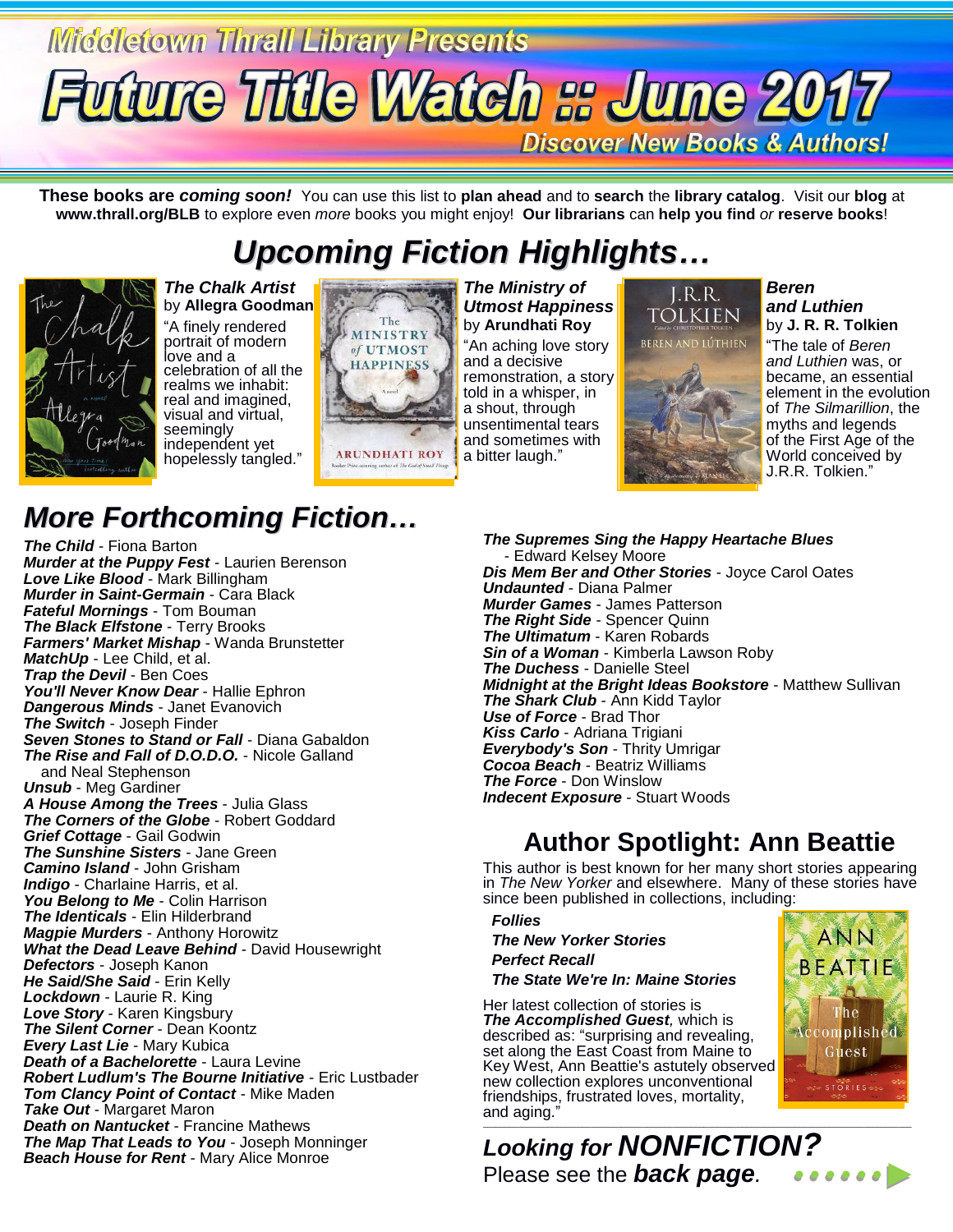## **Middletown Thrall Library Presents Future Title Watch s June 2017 Discover New Books & Authors!**

**These books are** *coming soon!* You can use this list to **plan ahead** and to **search** the **library catalog**. Visit our **blog** at **www.thrall.org/BLB** to explore even *more* books you might enjoy! **Our librarians** can **help you find** *or* **reserve books**!

## *Upcoming Fiction Highlights…*



*The Chalk Artist* by **Allegra Goodman** "A finely rendered portrait of modern

love and a celebration of all the realms we inhabit: real and imagined, visual and virtual, seemingly independent yet hopelessly tangled."



*The Ministry of Utmost Happiness* by **Arundhati Roy** "An aching love story and a decisive remonstration, a story told in a whisper, in a shout, through unsentimental tears and sometimes with a bitter laugh."

### I.R.R. tolkien



*Beren and Luthien* by **J. R. R. Tolkien**

"The tale of *Beren and Luthien* was, or became, an essential element in the evolution of *The Silmarillion*, the myths and legends of the First Age of the World conceived by J.R.R. Tolkien."

#### *The Supremes Sing the Happy Heartache Blues* - Edward Kelsey Moore *Dis Mem Ber and Other Stories* - Joyce Carol Oates *Undaunted* - Diana Palmer *Murder Games* - James Patterson *The Right Side* - Spencer Quinn *The Ultimatum* - Karen Robards *Sin of a Woman* - Kimberla Lawson Roby *The Duchess* - Danielle Steel *Midnight at the Bright Ideas Bookstore* - Matthew Sullivan *The Shark Club* - Ann Kidd Taylor *Use of Force* - Brad Thor *Kiss Carlo* - Adriana Trigiani *Everybody's Son* - Thrity Umrigar *Cocoa Beach* - Beatriz Williams *The Force* - Don Winslow *Indecent Exposure* - Stuart Woods

## **Author Spotlight: Ann Beattie**

This author is best known for her many short stories appearing in *The New Yorker* and elsewhere. Many of these stories have since been published in collections, including:

 *Follies*

 *The New Yorker Stories Perfect Recall The State We're In: Maine Stories*

Her latest collection of stories is *The Accomplished Guest,* which is described as: "surprising and revealing, set along the East Coast from Maine to Key West, Ann Beattie's astutely observed new collection explores unconventional friendships, frustrated loves, mortality, and aging." \_\_\_\_\_\_\_\_\_\_\_\_\_\_\_\_\_\_\_\_\_\_\_\_\_\_\_\_\_\_\_\_\_\_\_\_\_\_\_\_\_\_\_\_\_\_\_\_\_\_\_\_\_\_\_\_\_\_\_\_\_\_\_\_\_\_\_\_\_\_\_\_\_\_\_\_\_\_\_\_\_\_\_\_\_\_\_\_\_\_\_\_\_\_\_\_\_\_\_



*Looking for NONFICTION?* Please see the *back page.*......

## *More Forthcoming Fiction…*

*The Child* - Fiona Barton *Murder at the Puppy Fest* - Laurien Berenson *Love Like Blood* - Mark Billingham *Murder in Saint-Germain* - Cara Black *Fateful Mornings* - Tom Bouman *The Black Elfstone* - Terry Brooks *Farmers' Market Mishap* - Wanda Brunstetter *MatchUp* - Lee Child, et al. *Trap the Devil* - Ben Coes You'll Never Know Dear - Hallie Ephron *Dangerous Minds* - Janet Evanovich *The Switch* - Joseph Finder *Seven Stones to Stand or Fall* - Diana Gabaldon *The Rise and Fall of D.O.D.O.* - Nicole Galland and Neal Stephenson *Unsub* - Meg Gardiner *A House Among the Trees* - Julia Glass *The Corners of the Globe* - Robert Goddard *Grief Cottage* - Gail Godwin *The Sunshine Sisters* - Jane Green *Camino Island* - John Grisham *Indigo* - Charlaine Harris, et al. *You Belong to Me* - Colin Harrison *The Identicals* - Elin Hilderbrand *Magpie Murders* - Anthony Horowitz *What the Dead Leave Behind* - David Housewright *Defectors* - Joseph Kanon *He Said/She Said* - Erin Kelly *Lockdown* - Laurie R. King *Love Story* - Karen Kingsbury *The Silent Corner* - Dean Koontz *Every Last Lie* - Mary Kubica *Death of a Bachelorette* - Laura Levine *Robert Ludlum's The Bourne Initiative* - Eric Lustbader *Tom Clancy Point of Contact* - Mike Maden *Take Out* - Margaret Maron *Death on Nantucket* - Francine Mathews *The Map That Leads to You* - Joseph Monninger *Beach House for Rent* - Mary Alice Monroe